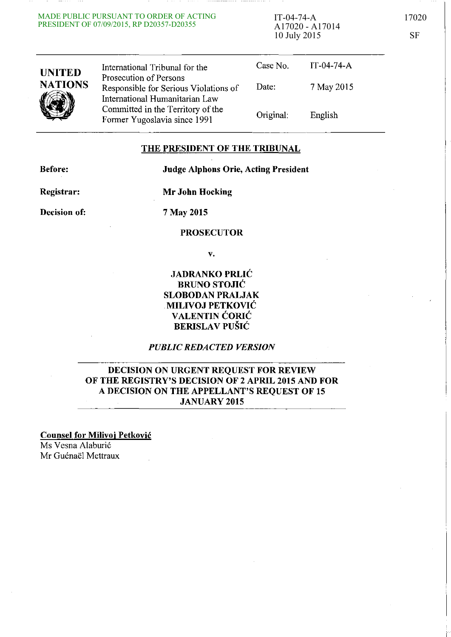#### MADE PUBLIC PURSUANT TO ORDER OF ACTING PRESIDENT OF 07/09/2015, RP D20357-D20355

IT-04-74-A 17020 A17020 - A17014 10 July 2015 SF

| <b>UNITED</b><br><b>NATIONS</b> | International Tribunal for the                                                                    | Case No. | IT-04-74- $A$ |  |
|---------------------------------|---------------------------------------------------------------------------------------------------|----------|---------------|--|
|                                 | Prosecution of Persons<br>Responsible for Serious Violations of<br>International Humanitarian Law | Date:    | 7 May 2015    |  |
|                                 | Committed in the Territory of the<br>Former Yugoslavia since 1991                                 | Original | English       |  |

### THE PRESIDENT OF THE TRIBUNAL

Before:

### Judge Alphons Orie, Acting President

Registrar:

Mr John Hocking

Decision of:

7 May 2015

### PROSECUTOR

v.

### JADRANKO PRLIC BRUNO STOJIĆ SLOBODAN PRALJAK MILIVOJ PETKOVIC VALENTIN CORIC BERISLAV PUŠIĆ

### *PUBLIC REDACTED VERSION*

### DECISION ON URGENT REQUEST FOR REVIEW OF THE REGISTRY'S DECISION OF 2 APRIL 2015 AND FOR A DECISION ON THE APPELLANT'S REQUEST OF 15 JANUARY 2015

Counsel for Milivoj Petkovic Ms Vesna Alaburić Mr Guénaël Mettraux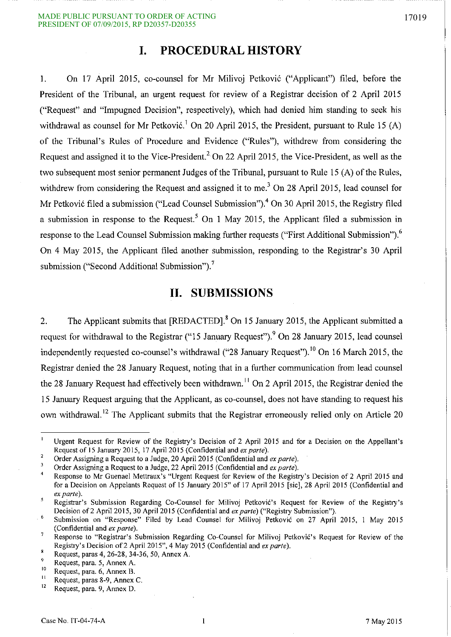# **I. PROCEDURAL HISTORY**

1. On 17 April 2015, co-counsel for Mr Milivoj Petkovi6 ("Applicant") filed, before the President of the Tribunal, an urgent request for review of a Registrar decision of 2 April 2015 ("Request" and "Impugned Decision", respectively), which had denied him standing to seek his withdrawal as counsel for Mr Petković.<sup>1</sup> On 20 April 2015, the President, pursuant to Rule 15 (A) of the Tribunal's Rules of Procedure and Evidence ("Rules"), withdrew from considering the Request and assigned it to the Vice-President.<sup>2</sup> On 22 April 2015, the Vice-President, as well as the two subsequent most senior permanent Judges of the Tribunal, pursuant to Rule IS (A) of the Rules, withdrew from considering the Request and assigned it to me.<sup>3</sup> On 28 April 2015, lead counsel for Mr Petković filed a submission ("Lead Counsel Submission").<sup>4</sup> On 30 April 2015, the Registry filed a submission in response to the Request.<sup>5</sup> On 1 May 2015, the Applicant filed a submission in response to the Lead Counsel Submission making further requests ("First Additional Submission").<sup>6</sup> On 4 May 201S, the Applicant filed another submission, responding to the Registrar's 30 April submission ("Second Additional Submission"). $^7$ 

# **II. SUBMISSIONS**

2. The Applicant submits that [REDACTED].<sup>8</sup> On 15 January 2015, the Applicant submitted a request for withdrawal to the Registrar ("15 January Request"). <sup>9</sup> On 28 January 2015, lead counsel independently requested co-counsel's withdrawal ("28 January Request").<sup>10</sup> On 16 March 2015, the Registrar denied the 28 January Request, noting that in a further communication from lead counsel the 28 January Request had effectively been withdrawn.<sup>11</sup> On 2 April 2015, the Registrar denied the IS January Request arguing that the Applicant, as co-counsel, does not have standing to request his own withdrawal. 12 The Applicant submits that the Registrar erroneously relied only on Article 20

Urgent Request for Review of the Registry's Decision of 2 April 2015 and for a Decision on the Appellant's Request of 15 January 2015, 17 April 2015 (Confidential and *ex parte*).

 $\overline{2}$ Order Assigning a Request to a Judge, 20 April 2015 (Confidential and *ex parle).*   $\overline{3}$ 

Order Assigning a Request to a Judge, 22 April 2015 (Confidential and *ex parle).* 

Response to Mr Guenael Mettraux's "Urgent Request for Review of the Registry's Decision of 2 April 2015 and  $\overline{4}$ for a Decision on Appelants Request of 15 January 2015" of 17 April 2015 [sic], 28 April 2015 (Confidential and *ex parle).*   $\overline{\mathbf{S}}$ 

Registrar's Submission Regarding Co-Counsel for Milivoj Petković's Request for Review of the Registry's Decision of2 April 2015, 30 April 2015 (Confidential and *ex parle)* ("Registry Submission").

 $\overline{6}$ Submission on "Response" Filed by Lead Counsel for Milivoj Petković on 27 April 2015, 1 May 2015 (Confidential and *ex parte).*   $\overline{7}$ 

Response to "Registrar's Submission Regarding Co-Counsel for Milivoj Petkovic's Request for Review of the Registry's Decision of2 April 2015", 4 May 2015 (Confidential and *ex parle).*   $\bf{8}$ 

Request, paras 4, 26-28, 34-36, 50, Annex A.

<sup>&</sup>lt;sup>9</sup><br>Request, para. 5, Annex A.

**<sup>10</sup>Request, para. 6, Annex B.** 

 $\frac{11}{12}$  Request, paras 8-9, Annex C.

Request, para. 9, Annex D.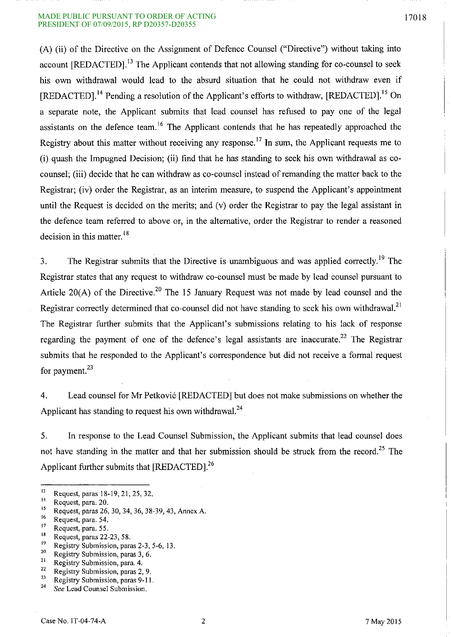#### MADE PUBLIC PURSUANT TO ORDER OF ACTING 17018 PRESIDENT OF 07/09/2015, RP D20357-D20355

(A) (ii) of the Directive on the Assignment of Defence Counsel ("Directive") without taking into account [REDACTED].<sup>13</sup> The Applicant contends that not allowing standing for co-counsel to seek his own withdrawal would lead to the absurd situation that he could not withdraw even if [REDACTED].<sup>14</sup> Pending a resolution of the Applicant's efforts to withdraw, [REDACTED].<sup>15</sup> On a separate note, the Applicant submits that lead counsel has refused to pay one of the legal assistants on the defence team.<sup>16</sup> The Applicant contends that he has repeatedly approached the Registry about this matter without receiving any response.<sup>17</sup> In sum, the Applicant requests me to (i) quash the Impugned Decision; (ii) find that he has standing to seek his own withdrawal as cocounsel; (iii) decide that he can withdraw as co-counsel instead of remanding the matter back to the Registrar; (iv) order the Registrar, as an interim measure, to suspend the Applicant's appointment until the Request is decided on the merits; and (v) order the Registrar to pay the legal assistant in the defence team referred to above or, in the alternative, order the Registrar to render a reasoned decision in this matter.<sup>18</sup>

3. The Registrar submits that the Directive is unambiguous and was applied correctly.<sup>19</sup> The Registrar states that any request to withdraw co-counsel must be made by lead counsel pursuant to Article 20(A) of the Directive.<sup>20</sup> The 15 January Request was not made by lead counsel and the Registrar correctly determined that co-counsel did not have standing to seek his own withdrawal.<sup>21</sup> The Registrar further submits that the Applicant's submissions relating to his lack of response regarding the payment of one of the defence's legal assistants are inaccurate.<sup>22</sup> The Registrar submits that he responded to the Applicant's correspondence but did not receive a formal request for payment. $^{23}$ 

4. Lead counsel for Mr Petkovi6 [REDACTED] but does not make submissions on whether the Applicant has standing to request his own withdrawal.<sup>24</sup>

5. **In** response to the Lead Counsel Submission, the Applicant submits that lead counsel does not have standing in the matter and that her submission should be struck from the record.<sup>25</sup> The Applicant further submits that [REDACTED].<sup>26</sup>

 $\frac{18}{12}$  Request, paras 22-23, 58.

 $\frac{22}{23}$  Registry Submission, paras 2, 9.

 $^{13}$  Request, paras 18-19, 21, 25, 32.

 $^{14}$  Request, para. 20.

<sup>&</sup>lt;sup>15</sup> Request, paras 26, 30, 34, 36, 38-39, 43, Annex A.

 $^{16}$  Request, para. 54.

 $^{17}$  Request, para. 55.

 $\frac{19}{20}$  Registry Submission, paras 2-3, 5-6, 13.

**<sup>20</sup> Registry Submission, paras 3, 6.** 

<sup>&</sup>lt;sup>21</sup> Registry Submission, para. 4.<br><sup>22</sup> Pagistry Submission, paras 2.

<sup>&</sup>lt;sup>23</sup> Registry Submission, paras 9-11.

*<sup>24</sup> See* **Lead Counsel Submission.**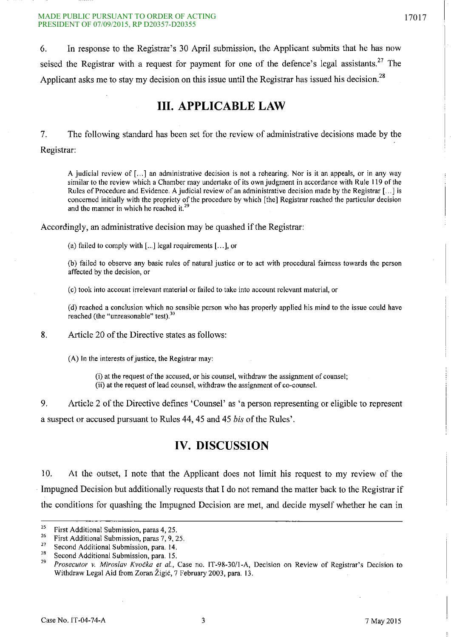~~- -- ~- ---------I

6. In response to the Registrar's 30 April submission, the Applicant submits that he has now seised the Registrar with a request for payment for one of the defence's legal assistants.<sup>27</sup> The Applicant asks me to stay my decision on this issue until the Registrar has issued his decision.<sup>28</sup>

# **III. APPLICABLE LAW**

7. The following standard has been set for the review of administrative decisions made by the Registrar:

A judicial review of [...] an administrative decision is not a rehearing. Nor is it an appeals, or in any way similar to the review which a Chamber may undertake of its own judgment in accordance with Rule 119 of the Rules of Procedure and Evidence. A judicial review of an administrative decision made by the Registrar [...] is concerned initially with the propriety of the procedure by which [the] Registrar reached the particular decision and the manner in which he reached it.<sup>29</sup>

Accordingly, an administrative decision may be quashed if the Registrar:

(a) failed to comply with  $[...]$  legal requirements  $[...]$ , or

(b) failed to observe any basic rules of natural justice or to act with procedural fairness towards the person affected by the decision, or

(c) took into account irrelevant material or failed to take into account relevant material, or

(d) reached a conclusion which no sensible person who has properly applied his mind to the issue could have **reached (the "unreasonable" test).30** 

8. Article 20 of the Directive states as follows:

(A) In the interests of justice, the Registrar may:

(i) at the request of the accused, or his counsel, withdraw the assignment of counsel; (ii) at the request of lead counsel, withdraw the assignment of co-counsel.

9. Article 2 of the Directive defines 'Counsel' as 'a person representing or eligible to represent a suspect or accused pursuant to Rules 44, 45 and 45 *his* of the Rules'.

# **IV. DISCUSSION**

10. At the outset, I note that the Applicant does not limit his request to my review of the . Impugned Decision but additionally requests that I do not remand the matter back to the Registrar if the conditions for quashing the Impugned Decision are met, and decide myself whether he can in

<sup>&</sup>lt;sup>25</sup> First Additional Submission, paras 4, 25.<br><sup>26</sup> Einst Additional Submission, page 7, 0, 2

<sup>&</sup>lt;sup>26</sup> First Additional Submission, paras 7, 9, 25.

<sup>&</sup>lt;sup>27</sup> Second Additional Submission, para. 14.

<sup>&</sup>lt;sup>28</sup> Second Additional Submission, para. 15.

*<sup>29</sup>Prosecutor* **v.** *Miroslav* **Kvocka** *et* **at., Case no, IT-98-301I-A, Decision on Review of Registrar's Decision to**  Withdraw Legal Aid from Zoran Žigić, 7 February 2003, para. 13.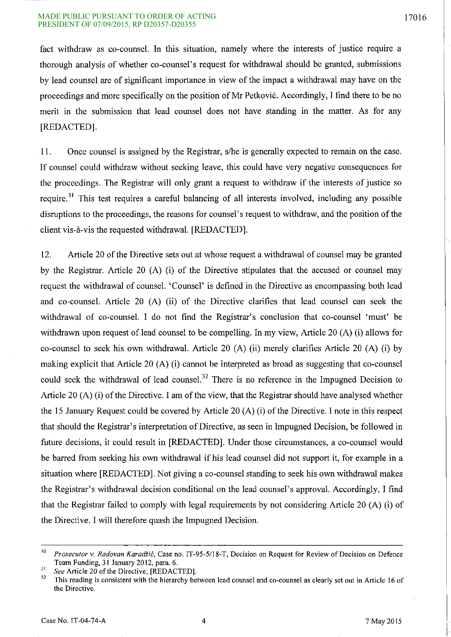#### MADE PUBLIC PURSUANT TO ORDER OF ACTING 17016 PRESIDENT OF 07/09/2015, RP D20357-D20355

fact withdraw as co-counsel. **In** this situation, namely where the interests of justice require a thorough analysis of whether co-counsel's request for withdrawal should be granted, submissions by lead counsel are of significant importance in view of the impact a withdrawal may have on the proceedings and more specifically on the position of Mr Petković. Accordingly, I find there to be no merit in the submission that lead counsel does not have standing in the matter. As for any [REDACTED].

II. Once counsel is assigned by the Registrar, s/he is generally expected to remain on the case. **If** counsel could withdraw without seeking leave, this could have very negative consequences for the proceedings. The Registrar will only grant a request to withdraw if the interests of justice so require. 31 This test requires a careful balancing of all interests involved, including any possible disruptions to the proceedings, the reasons for counsel's request to withdraw, and the position of the client vis-a-vis the requested withdrawal. [REDACTED].

12. Article 20 of the Directive sets out at whose request a withdrawal of counsel may be granted by the Registrar. Article 20 (A) (i) of the Directive stipulates that the accused or counsel may request the withdrawal of counsel. 'Counsel' is defined in the Directive as encompassing both lead and co-counsel. Article 20 (A) (ii) of the Directive clarifies that lead counsel can seek the withdrawal of co-counsel. I do not find the Registrar's conclusion that co-counsel 'must' be withdrawn upon request of lead counsel to be compelling. **In** my view, Article 20 (A) (i) allows for co-counsel to seek his own withdrawal. Article 20 (A) (ii) merely clarifies Article 20 (A) (i) by making explicit that Article 20 (A) (i) cannot be interpreted as broad as suggesting that co-counsel could seek the withdrawal of lead counsel.<sup>32</sup> There is no reference in the Impugned Decision to Article 20 (A) (i) of the Directive. I am of the view, that the Registrar should have analysed whether the 15 January Request could be covered by Article 20 (A) (i) of the Directive. I note in this respect that should the Registrar's interpretation of Directive, as seen in Impugned Decision, be followed in future decisions, it could result in [REDACTED]. Under those circumstances, a co-counsel would be barred from seeking his own withdrawal if his lead counsel did not support it, for example in a situation where [REDACTED]. Not giving a co-counsel standing to seek his own withdrawal makes the Registrar's withdrawal decision conditional on the lead counsel's approval. Accordingly, I find that the Registrar failed to comply with legal requirements by not considering Article 20 (A) (i) of the Directive. I will therefore quash the Impugned Decision.

<sup>30</sup>*Prosecutor* v. *Radovan Karadiic,* Case no. *IT-95-5118-T,* Decision on Request for Review of Decision on Defence Team Funding, 3 I January 2012, para. 6.

 $\frac{31}{32}$  *See* Article 20 of the Directive; [REDACTED].

<sup>32</sup> This reading is consistent with the hierarchy between lead counsel and co-counsel as clearly set out in Article 16 of **the Directive.**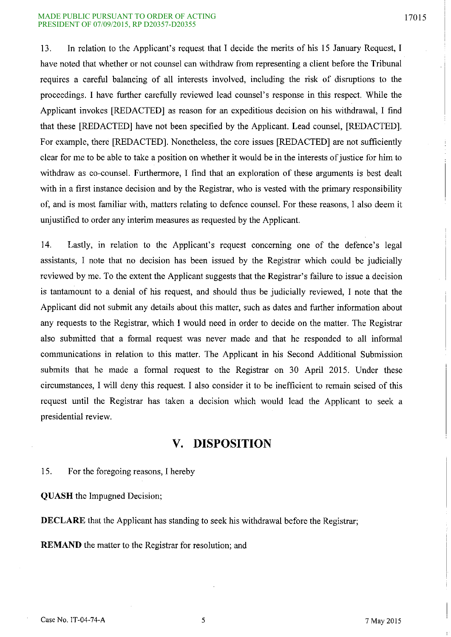#### MADE PUBLIC PURSUANT TO ORDER OF ACTING 17015 PRESIDENT OF 07/09/2015, RP D20357-D20355

13. **In** relation to the Applicant's request that I decide the merits of his IS January Request, I have noted that whether or not counsel can withdraw from representing a client before the Tribunal requires a careful balancing of all interests involved, including the risk of disruptions to the proceedings. I have further carefully reviewed lead counsel's response in this respect. While the Applicant invokes [REDACTED] as reason for an expeditious decision on his withdrawal, I find that these [REDACTED] have not been specified by the Applicant. Lead counsel, [REDACTED]. For example, there [REDACTED]. Nonetheless, the core issues [REDACTED] are not sufficiently clear for me to be able to take a position on whether it would be in the interests of justice for him to withdraw as co-counsel. Furthermore, I find that an exploration of these arguments is best dealt with in a first instance decision and by the Registrar, who is vested with the primary responsibility of, and is most familiar with, matters relating to defence counsel. For these reasons, I also deem it unjustified to order any interim measures as requested by the Applicant.

14. Lastly, in relation to the Applicant's request concerning one of the defence's legal assistants, I note that no decision has been issued by the Registrar which could be judicially reviewed by me. To the extent the Applicant suggests that the Registrar's failure to issue a decision is tantamount to a denial of his request, and should thus be judicially reviewed, I note that the Applicant did not submit any details about this matter, such as dates and further information about any requests to the Registrar, which I would need in order to decide on the matter. The Registrar also submitted that a formal request was never made and that he responded to all informal communications in relation to this matter. The Applicant in his Second Additional Submission submits that he made a formal request to the Registrar on 30 April 2015. Under these circumstances, I will deny this request. I also consider it to be inefficient to remain seised of this request until the Registrar has taken a decision which would lead the Applicant to seek a presidential review.

# **V. DISPOSITION**

IS. For the foregoing reasons, I hereby

**QUASH** the Impugned Decision;

**DECLARE** that the Applicant has standing to seek his withdrawal before the Registrar;

**REMAND** the matter to the Registrar for resolution; and